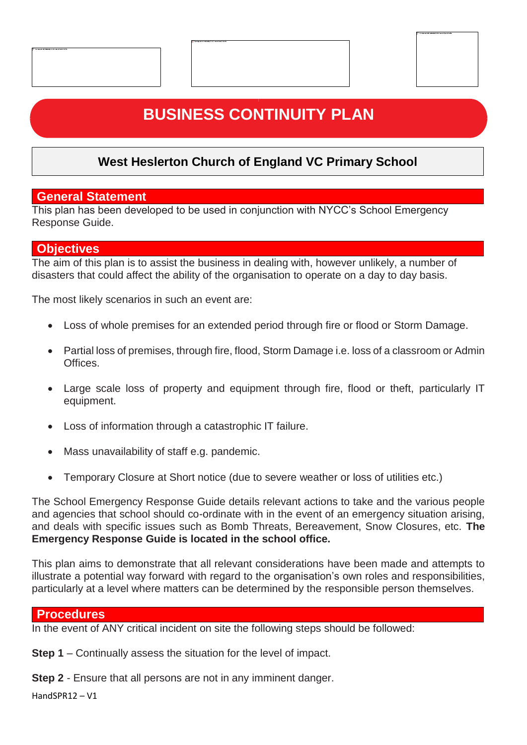# **BUSINESS CONTINUITY PLAN**

## **West Heslerton Church of England VC Primary School**

### **General Statement**

This plan has been developed to be used in conjunction with NYCC's School Emergency Response Guide.

### **Objectives**

The aim of this plan is to assist the business in dealing with, however unlikely, a number of disasters that could affect the ability of the organisation to operate on a day to day basis.

The most likely scenarios in such an event are:

 $\begin{array}{c} \hline \end{array}$ 

- Loss of whole premises for an extended period through fire or flood or Storm Damage.
- Partial loss of premises, through fire, flood, Storm Damage i.e. loss of a classroom or Admin Offices.
- Large scale loss of property and equipment through fire, flood or theft, particularly IT equipment.
- Loss of information through a catastrophic IT failure.
- Mass unavailability of staff e.g. pandemic.
- Temporary Closure at Short notice (due to severe weather or loss of utilities etc.)

The School Emergency Response Guide details relevant actions to take and the various people and agencies that school should co-ordinate with in the event of an emergency situation arising, and deals with specific issues such as Bomb Threats, Bereavement, Snow Closures, etc. **The Emergency Response Guide is located in the school office.**

This plan aims to demonstrate that all relevant considerations have been made and attempts to illustrate a potential way forward with regard to the organisation's own roles and responsibilities, particularly at a level where matters can be determined by the responsible person themselves.

### **Procedures**

In the event of ANY critical incident on site the following steps should be followed:

**Step 1** – Continually assess the situation for the level of impact.

**Step 2** - Ensure that all persons are not in any imminent danger.

HandSPR12 – V1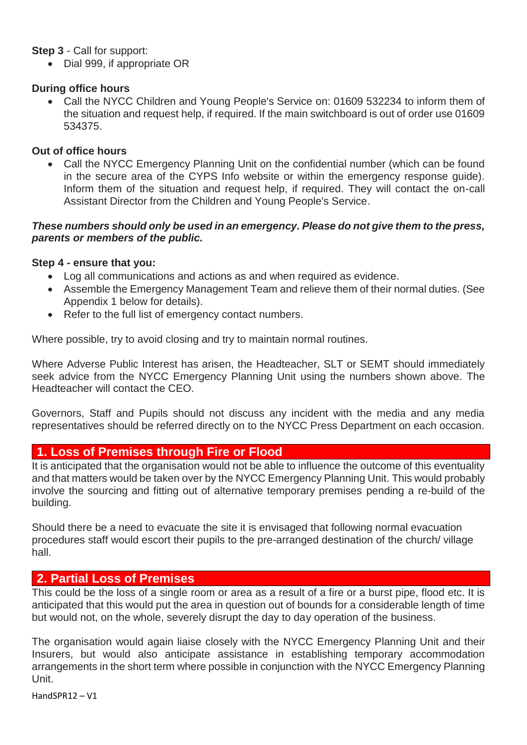#### **Step 3** - Call for support:

• Dial 999, if appropriate OR

#### **During office hours**

• Call the NYCC Children and Young People's Service on: 01609 532234 to inform them of the situation and request help, if required. If the main switchboard is out of order use 01609 534375.

### **Out of office hours**

• Call the NYCC Emergency Planning Unit on the confidential number (which can be found in the secure area of the CYPS Info website or within the emergency response guide). Inform them of the situation and request help, if required. They will contact the on-call Assistant Director from the Children and Young People's Service.

#### *These numbers should only be used in an emergency. Please do not give them to the press, parents or members of the public.*

### **Step 4 - ensure that you:**

- Log all communications and actions as and when required as evidence.
- Assemble the Emergency Management Team and relieve them of their normal duties. (See Appendix 1 below for details).
- Refer to the full list of emergency contact numbers.

Where possible, try to avoid closing and try to maintain normal routines.

Where Adverse Public Interest has arisen, the Headteacher, SLT or SEMT should immediately seek advice from the NYCC Emergency Planning Unit using the numbers shown above. The Headteacher will contact the CEO.

Governors, Staff and Pupils should not discuss any incident with the media and any media representatives should be referred directly on to the NYCC Press Department on each occasion.

### **1. Loss of Premises through Fire or Flood**

It is anticipated that the organisation would not be able to influence the outcome of this eventuality and that matters would be taken over by the NYCC Emergency Planning Unit. This would probably involve the sourcing and fitting out of alternative temporary premises pending a re-build of the building.

Should there be a need to evacuate the site it is envisaged that following normal evacuation procedures staff would escort their pupils to the pre-arranged destination of the church/ village hall.

### **2. Partial Loss of Premises**

This could be the loss of a single room or area as a result of a fire or a burst pipe, flood etc. It is anticipated that this would put the area in question out of bounds for a considerable length of time but would not, on the whole, severely disrupt the day to day operation of the business.

The organisation would again liaise closely with the NYCC Emergency Planning Unit and their Insurers, but would also anticipate assistance in establishing temporary accommodation arrangements in the short term where possible in conjunction with the NYCC Emergency Planning Unit.

HandSPR12 – V1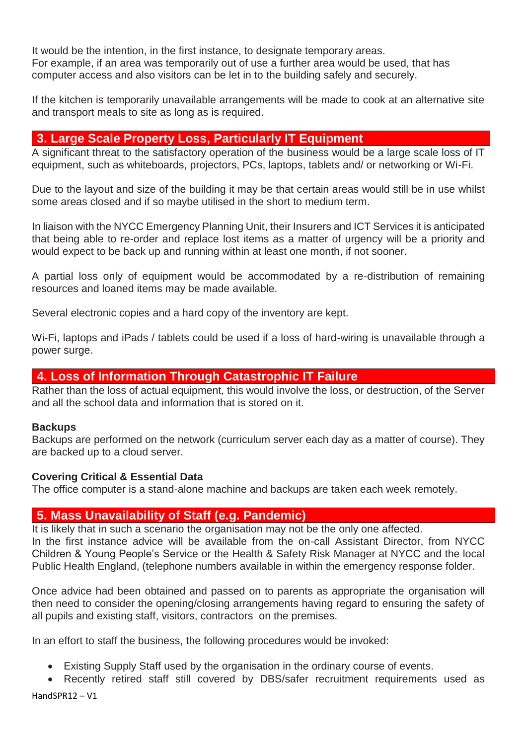It would be the intention, in the first instance, to designate temporary areas. For example, if an area was temporarily out of use a further area would be used, that has computer access and also visitors can be let in to the building safely and securely.

If the kitchen is temporarily unavailable arrangements will be made to cook at an alternative site and transport meals to site as long as is required.

### **3. Large Scale Property Loss, Particularly IT Equipment**

A significant threat to the satisfactory operation of the business would be a large scale loss of IT equipment, such as whiteboards, projectors, PCs, laptops, tablets and/ or networking or Wi-Fi.

Due to the layout and size of the building it may be that certain areas would still be in use whilst some areas closed and if so maybe utilised in the short to medium term.

In liaison with the NYCC Emergency Planning Unit, their Insurers and ICT Services it is anticipated that being able to re-order and replace lost items as a matter of urgency will be a priority and would expect to be back up and running within at least one month, if not sooner.

A partial loss only of equipment would be accommodated by a re-distribution of remaining resources and loaned items may be made available.

Several electronic copies and a hard copy of the inventory are kept.

Wi-Fi, laptops and iPads / tablets could be used if a loss of hard-wiring is unavailable through a power surge.

### **4. Loss of Information Through Catastrophic IT Failure**

Rather than the loss of actual equipment, this would involve the loss, or destruction, of the Server and all the school data and information that is stored on it.

### **Backups**

Backups are performed on the network (curriculum server each day as a matter of course). They are backed up to a cloud server.

### **Covering Critical & Essential Data**

The office computer is a stand-alone machine and backups are taken each week remotely.

### **5. Mass Unavailability of Staff (e.g. Pandemic)**

It is likely that in such a scenario the organisation may not be the only one affected. In the first instance advice will be available from the on-call Assistant Director, from NYCC Children & Young People's Service or the Health & Safety Risk Manager at NYCC and the local Public Health England, (telephone numbers available in within the emergency response folder.

Once advice had been obtained and passed on to parents as appropriate the organisation will then need to consider the opening/closing arrangements having regard to ensuring the safety of all pupils and existing staff, visitors, contractors on the premises.

In an effort to staff the business, the following procedures would be invoked:

- Existing Supply Staff used by the organisation in the ordinary course of events.
- Recently retired staff still covered by DBS/safer recruitment requirements used as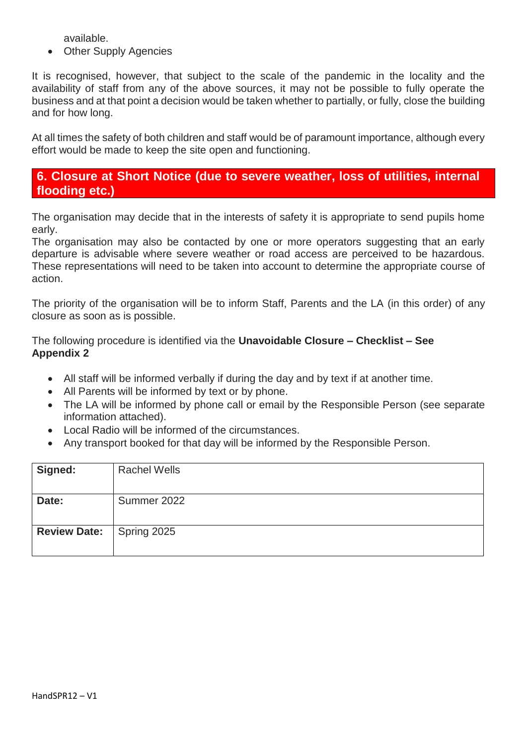available.

• Other Supply Agencies

It is recognised, however, that subject to the scale of the pandemic in the locality and the availability of staff from any of the above sources, it may not be possible to fully operate the business and at that point a decision would be taken whether to partially, or fully, close the building and for how long.

At all times the safety of both children and staff would be of paramount importance, although every effort would be made to keep the site open and functioning.

### **6. Closure at Short Notice (due to severe weather, loss of utilities, internal flooding etc.)**

The organisation may decide that in the interests of safety it is appropriate to send pupils home early.

The organisation may also be contacted by one or more operators suggesting that an early departure is advisable where severe weather or road access are perceived to be hazardous. These representations will need to be taken into account to determine the appropriate course of action.

The priority of the organisation will be to inform Staff, Parents and the LA (in this order) of any closure as soon as is possible.

The following procedure is identified via the **Unavoidable Closure – Checklist – See Appendix 2**

- All staff will be informed verbally if during the day and by text if at another time.
- All Parents will be informed by text or by phone.
- The LA will be informed by phone call or email by the Responsible Person (see separate information attached).
- Local Radio will be informed of the circumstances.
- Any transport booked for that day will be informed by the Responsible Person.

| Signed:                         | <b>Rachel Wells</b> |
|---------------------------------|---------------------|
| Date:                           | Summer 2022         |
| <b>Review Date:</b> Spring 2025 |                     |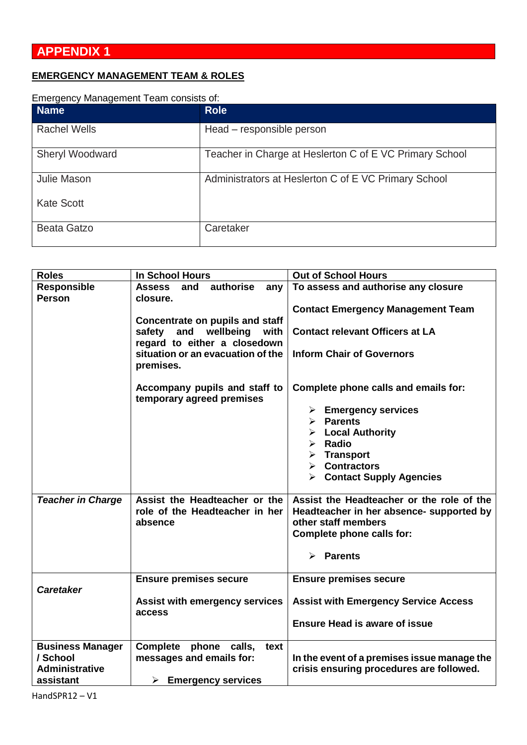### **EMERGENCY MANAGEMENT TEAM & ROLES**

| Emergency Management Team consists of: |                                                         |  |  |  |
|----------------------------------------|---------------------------------------------------------|--|--|--|
| <b>Name</b>                            | <b>Role</b>                                             |  |  |  |
| <b>Rachel Wells</b>                    | Head - responsible person                               |  |  |  |
| <b>Sheryl Woodward</b>                 | Teacher in Charge at Heslerton C of E VC Primary School |  |  |  |
| Julie Mason                            | Administrators at Heslerton C of E VC Primary School    |  |  |  |
| <b>Kate Scott</b>                      |                                                         |  |  |  |
| Beata Gatzo                            | Caretaker                                               |  |  |  |

| <b>Roles</b>                                                              | <b>In School Hours</b>                                                                           | <b>Out of School Hours</b>                                                                                   |  |
|---------------------------------------------------------------------------|--------------------------------------------------------------------------------------------------|--------------------------------------------------------------------------------------------------------------|--|
| Responsible<br>Person                                                     | authorise<br><b>Assess</b><br>and<br>any<br>closure.                                             | To assess and authorise any closure                                                                          |  |
|                                                                           | Concentrate on pupils and staff                                                                  | <b>Contact Emergency Management Team</b>                                                                     |  |
|                                                                           | safety and wellbeing<br>with                                                                     | <b>Contact relevant Officers at LA</b>                                                                       |  |
|                                                                           | regard to either a closedown<br>situation or an evacuation of the<br>premises.                   | <b>Inform Chair of Governors</b>                                                                             |  |
|                                                                           | Accompany pupils and staff to<br>temporary agreed premises                                       | Complete phone calls and emails for:                                                                         |  |
|                                                                           |                                                                                                  | $\triangleright$ Emergency services                                                                          |  |
|                                                                           |                                                                                                  | $\triangleright$ Parents                                                                                     |  |
|                                                                           |                                                                                                  | $\triangleright$ Local Authority<br>$\triangleright$ Radio                                                   |  |
|                                                                           |                                                                                                  | $\triangleright$ Transport                                                                                   |  |
|                                                                           |                                                                                                  | $\triangleright$ Contractors                                                                                 |  |
|                                                                           |                                                                                                  | $\triangleright$ Contact Supply Agencies                                                                     |  |
| <b>Teacher in Charge</b>                                                  | Assist the Headteacher or the<br>role of the Headteacher in her<br>absence                       | Assist the Headteacher or the role of the<br>Headteacher in her absence- supported by<br>other staff members |  |
|                                                                           |                                                                                                  | Complete phone calls for:                                                                                    |  |
|                                                                           |                                                                                                  | $\triangleright$ Parents                                                                                     |  |
| <b>Caretaker</b>                                                          | <b>Ensure premises secure</b>                                                                    | <b>Ensure premises secure</b>                                                                                |  |
|                                                                           | <b>Assist with emergency services</b><br>access                                                  | <b>Assist with Emergency Service Access</b>                                                                  |  |
|                                                                           |                                                                                                  | <b>Ensure Head is aware of issue</b>                                                                         |  |
| <b>Business Manager</b><br>/ School<br><b>Administrative</b><br>assistant | Complete phone calls,<br>text<br>messages and emails for:<br>$\triangleright$ Emergency services | In the event of a premises issue manage the<br>crisis ensuring procedures are followed.                      |  |
|                                                                           |                                                                                                  |                                                                                                              |  |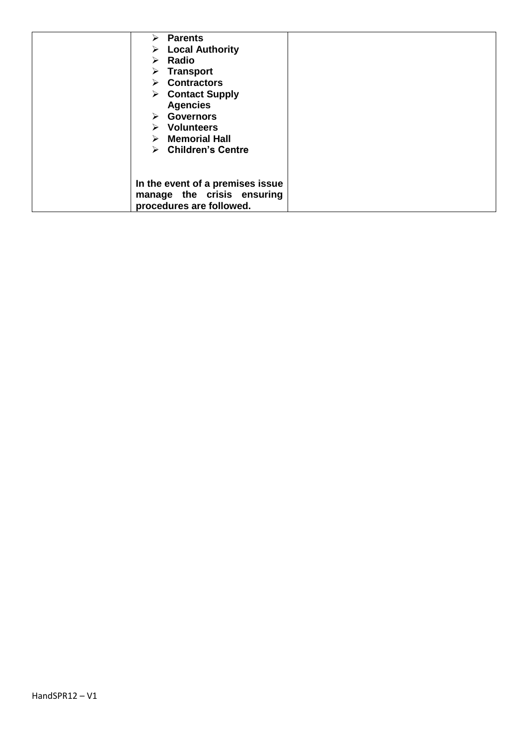| $\triangleright$ Parents           |  |
|------------------------------------|--|
| $\triangleright$ Local Authority   |  |
| $\triangleright$ Radio             |  |
| $\triangleright$ Transport         |  |
| $\triangleright$ Contractors       |  |
| $\triangleright$ Contact Supply    |  |
| <b>Agencies</b>                    |  |
| <b>Governors</b><br>➤              |  |
| <b>Volunteers</b><br>➤             |  |
| <b>Memorial Hall</b><br>➤          |  |
| $\triangleright$ Children's Centre |  |
|                                    |  |
|                                    |  |
| In the event of a premises issue   |  |
| manage the crisis ensuring         |  |
| procedures are followed.           |  |
|                                    |  |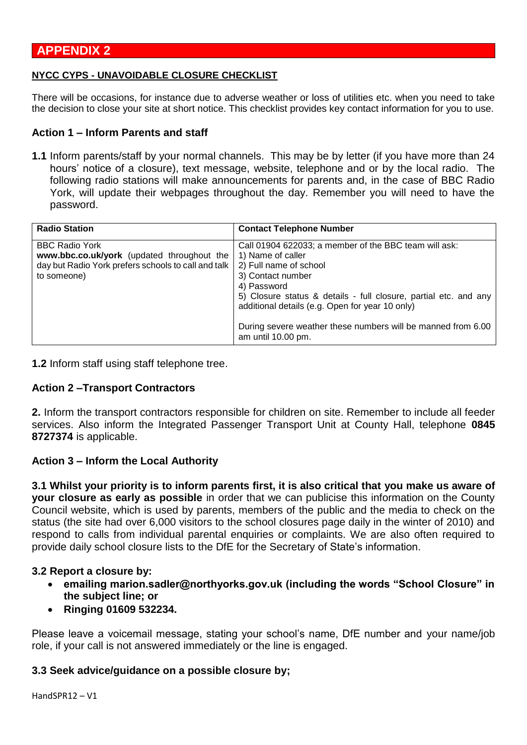### **APPENDIX 2**

#### **NYCC CYPS - UNAVOIDABLE CLOSURE CHECKLIST**

There will be occasions, for instance due to adverse weather or loss of utilities etc. when you need to take the decision to close your site at short notice. This checklist provides key contact information for you to use.

#### **Action 1 – Inform Parents and staff**

**1.1** Inform parents/staff by your normal channels. This may be by letter (if you have more than 24 hours' notice of a closure), text message, website, telephone and or by the local radio. The following radio stations will make announcements for parents and, in the case of BBC Radio York, will update their webpages throughout the day. Remember you will need to have the password.

| <b>Radio Station</b>                                                                                                                      | <b>Contact Telephone Number</b>                                                                                                                                                                                                                                                                                                                       |
|-------------------------------------------------------------------------------------------------------------------------------------------|-------------------------------------------------------------------------------------------------------------------------------------------------------------------------------------------------------------------------------------------------------------------------------------------------------------------------------------------------------|
| <b>BBC Radio York</b><br>www.bbc.co.uk/york (updated throughout the<br>day but Radio York prefers schools to call and talk<br>to someone) | Call 01904 622033; a member of the BBC team will ask:<br>1) Name of caller<br>2) Full name of school<br>3) Contact number<br>4) Password<br>5) Closure status & details - full closure, partial etc. and any<br>additional details (e.g. Open for year 10 only)<br>During severe weather these numbers will be manned from 6.00<br>am until 10.00 pm. |

**1.2** Inform staff using staff telephone tree.

### **Action 2 –Transport Contractors**

**2.** Inform the transport contractors responsible for children on site. Remember to include all feeder services. Also inform the Integrated Passenger Transport Unit at County Hall, telephone **0845 8727374** is applicable.

#### **Action 3 – Inform the Local Authority**

**3.1 Whilst your priority is to inform parents first, it is also critical that you make us aware of your closure as early as possible** in order that we can publicise this information on the County Council website, which is used by parents, members of the public and the media to check on the status (the site had over 6,000 visitors to the school closures page daily in the winter of 2010) and respond to calls from individual parental enquiries or complaints. We are also often required to provide daily school closure lists to the DfE for the Secretary of State's information.

#### **3.2 Report a closure by:**

- **emailing marion.sadler@northyorks.gov.uk (including the words "School Closure" in the subject line; or**
- **Ringing 01609 532234.**

Please leave a voicemail message, stating your school's name, DfE number and your name/job role, if your call is not answered immediately or the line is engaged.

### **3.3 Seek advice/guidance on a possible closure by;**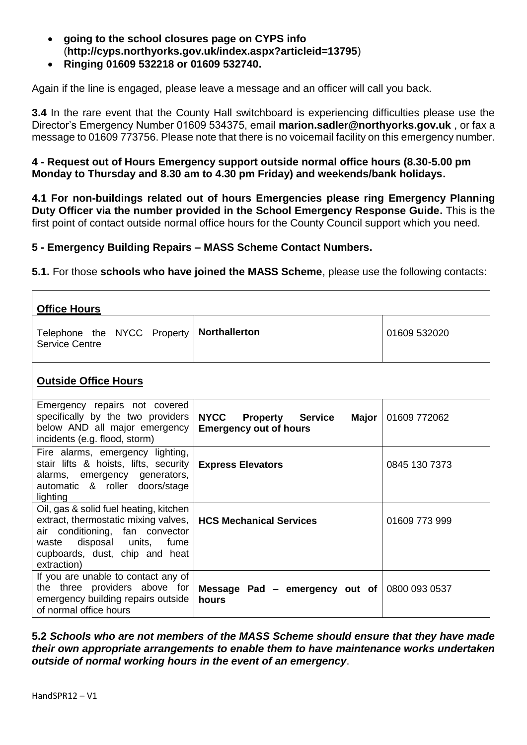- **going to the school closures page on CYPS info**  (**http://cyps.northyorks.gov.uk/index.aspx?articleid=13795**)
- **Ringing 01609 532218 or 01609 532740.**

Again if the line is engaged, please leave a message and an officer will call you back.

**3.4** In the rare event that the County Hall switchboard is experiencing difficulties please use the Director's Emergency Number 01609 534375, email **marion.sadler@northyorks.gov.uk** , or fax a message to 01609 773756. Please note that there is no voicemail facility on this emergency number.

### **4 - Request out of Hours Emergency support outside normal office hours (8.30-5.00 pm Monday to Thursday and 8.30 am to 4.30 pm Friday) and weekends/bank holidays.**

**4.1 For non-buildings related out of hours Emergencies please ring Emergency Planning Duty Officer via the number provided in the School Emergency Response Guide.** This is the first point of contact outside normal office hours for the County Council support which you need.

### **5 - Emergency Building Repairs – MASS Scheme Contact Numbers.**

**5.1.** For those **schools who have joined the MASS Scheme**, please use the following contacts:

| <b>Office Hours</b>                                                                                                                                                                                 |                                                                                         |               |  |  |  |  |
|-----------------------------------------------------------------------------------------------------------------------------------------------------------------------------------------------------|-----------------------------------------------------------------------------------------|---------------|--|--|--|--|
| Telephone the NYCC Property<br><b>Service Centre</b>                                                                                                                                                | <b>Northallerton</b>                                                                    | 01609 532020  |  |  |  |  |
| <b>Outside Office Hours</b>                                                                                                                                                                         |                                                                                         |               |  |  |  |  |
| Emergency repairs not covered<br>specifically by the two providers<br>below AND all major emergency<br>incidents (e.g. flood, storm)                                                                | <b>NYCC</b><br><b>Property Service</b><br><b>Major</b><br><b>Emergency out of hours</b> | 01609 772062  |  |  |  |  |
| Fire alarms, emergency lighting,<br>stair lifts & hoists, lifts, security<br>alarms, emergency generators,<br>automatic & roller doors/stage<br>lighting                                            | <b>Express Elevators</b>                                                                | 0845 130 7373 |  |  |  |  |
| Oil, gas & solid fuel heating, kitchen<br>extract, thermostatic mixing valves,<br>air conditioning, fan convector<br>disposal units, fume<br>waste<br>cupboards, dust, chip and heat<br>extraction) | <b>HCS Mechanical Services</b>                                                          | 01609 773 999 |  |  |  |  |
| If you are unable to contact any of<br>the three providers above for<br>emergency building repairs outside<br>of normal office hours                                                                | Message Pad $-$ emergency out of<br>hours                                               | 0800 093 0537 |  |  |  |  |

**5.2** *Schools who are not members of the MASS Scheme should ensure that they have made their own appropriate arrangements to enable them to have maintenance works undertaken outside of normal working hours in the event of an emergency*.